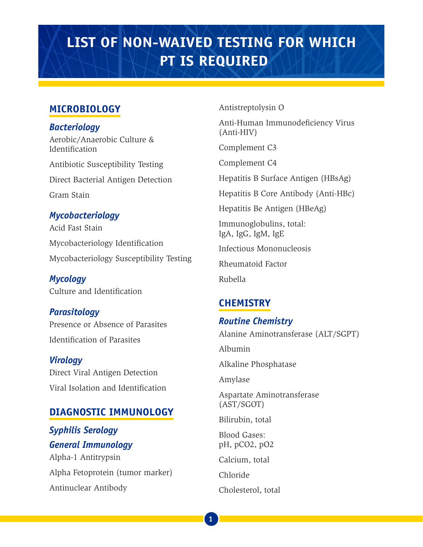# **LIST OF NON-WAIVED TESTING FOR WHICH PT IS REQUIRED**

## **MICROBIOLOGY**

*Bacteriology* Aerobic/Anaerobic Culture & Identification Antibiotic Susceptibility Testing Direct Bacterial Antigen Detection Gram Stain

### *Mycobacteriology*

Acid Fast Stain Mycobacteriology Identification Mycobacteriology Susceptibility Testing

*Mycology* Culture and Identification

*Parasitology* Presence or Absence of Parasites Identification of Parasites

*Virology* Direct Viral Antigen Detection Viral Isolation and Identification

## **DIAGNOSTIC IMMUNOLOGY**

*Syphilis Serology General Immunology* Alpha-1 Antitrypsin Alpha Fetoprotein (tumor marker) Antinuclear Antibody

Antistreptolysin O

Anti-Human Immunodeficiency Virus (Anti-HIV)

Complement C3

Complement C4

Hepatitis B Surface Antigen (HBsAg)

Hepatitis B Core Antibody (Anti-HBc)

Hepatitis Be Antigen (HBeAg)

Immunoglobulins, total: IgA, IgG, IgM, IgE

Infectious Mononucleosis

Rheumatoid Factor

Rubella

## **CHEMISTRY**

## *Routine Chemistry*

Alanine Aminotransferase (ALT/SGPT)

Albumin

Alkaline Phosphatase

Amylase

Aspartate Aminotransferase (AST/SGOT)

Bilirubin, total

Blood Gases: pH, pCO2, pO2

Calcium, total

Chloride

Cholesterol, total